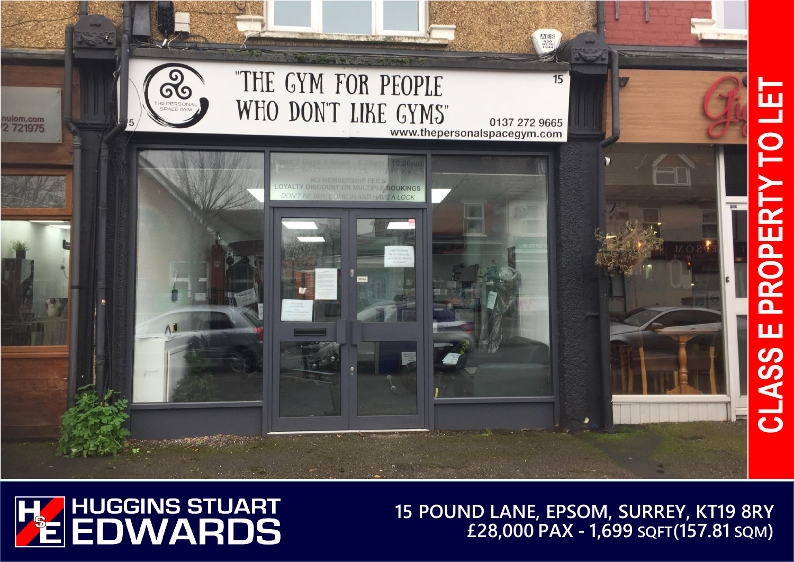



**15 POUND LANE, EPSOM, SURREY, KT19 8RY £28,000 PAX - 1,699 SQFT(157.81 SQM)**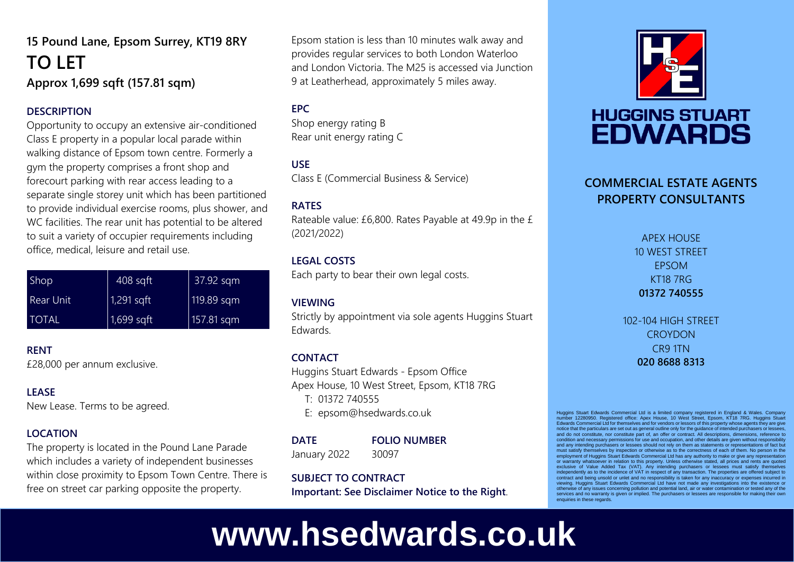### **15 Pound Lane, Epsom Surrey, KT19 8RY TO LET Approx 1,699 sqft (157.81 sqm)**

#### **DESCRIPTION**

Opportunity to occupy an extensive air-conditioned Class E property in a popular local parade within walking distance of Epsom town centre. Formerly a gym the property comprises a front shop and forecourt parking with rear access leading to a separate single storey unit which has been partitioned to provide individual exercise rooms, plus shower, and WC facilities. The rear unit has potential to be altered to suit a variety of occupier requirements including office, medical, leisure and retail use.

| Shop             | $ 408 \text{ sqft} $ | 37.92 sqm     |
|------------------|----------------------|---------------|
| <b>Rear Unit</b> | $1,291$ sqft         | $ 119.89$ sqm |
| <b>TOTAL</b>     | $1,699$ sqft         | $ 157.81$ sqm |

**RENT** £28,000 per annum exclusive.

#### **LEASE**

New Lease. Terms to be agreed.

#### **LOCATION**

The property is located in the Pound Lane Parade which includes a variety of independent businesses within close proximity to Epsom Town Centre. There is free on street car parking opposite the property.

Epsom station is less than 10 minutes walk away and provides regular services to both London Waterloo and London Victoria. The M25 is accessed via Junction 9 at Leatherhead, approximately 5 miles away.

#### **EPC**

Shop energy rating B Rear unit energy rating C

#### **USE**

Class E (Commercial Business & Service)

#### **RATES**

Rateable value: £6,800. Rates Payable at 49.9p in the £ (2021/2022)

#### **LEGAL COSTS**

Each party to bear their own legal costs.

#### **VIEWING**

Strictly by appointment via sole agents Huggins Stuart Edwards.

#### **CONTACT**

Huggins Stuart Edwards - Epsom Office Apex House, 10 West Street, Epsom, KT18 7RG T: 01372 740555 E: epsom@hsedwards.co.uk

**DATE FOLIO NUMBER** January 2022 30097

#### **SUBJECT TO CONTRACT**

**Important: See Disclaimer Notice to the Right**.



## **HUGGINS STUART EDWARDS**

#### **COMMERCIAL ESTATE AGENTS PROPERTY CONSULTANTS**

APEX HOUSE 10 WEST STREET EPSOM KT18 7RG **01372 740555**

102-104 HIGH STREET **CROYDON** CR9 1TN **020 8688 8313**

Huggins Stuart Edwards Commercial Ltd is a limited company registered in England & Wales. Company number 12280950. Registered office: Apex House, 10 West Street, Epsom, KT18 7RG. Huggins Stuart Edwards Commercial Ltd for themselves and for vendors or lessors of this property whose agents they are give notice that the particulars are set out as general outline only for the guidance of intended purchasers or lessees, and do not constitute, nor constitute part of, an offer or contract. All descriptions, dimensions, reference to condition and necessary permissions for use and occupation, and other details are given without responsibility and any intending purchasers or lessees should not rely on them as statements or representations of fact but any intending purchasers or lessees should not rely on them as statements or representations of fact but must satisfy themselves by inspection or otherwise as to the correctness of each of them. No person in the employment of Huggins Stuart Edwards Commercial Ltd has any authority to make or give any representation or warranty whatsoever in relation to this property. Unless otherwise stated, all prices and rents are quoted exclusive of Value Added Tax (VAT). Any intending purchasers or lessees must satisfy themselves independently as to the incidence of VAT in respect of any transaction. The properties are offered subject to contract and being unsold or unlet and no responsibility is taken for any inaccuracy or expenses incurred in viewing. Huggins Stuart Edwards Commercial Ltd have not made any investigations into the existence or otherwise of any issues concerning pollution and potential land, air or water contamination or tested any of the services and no warranty is given or implied. The purchasers or lessees are responsible for making their own enquiries in these regards

# **www.hsedwards.co.uk**